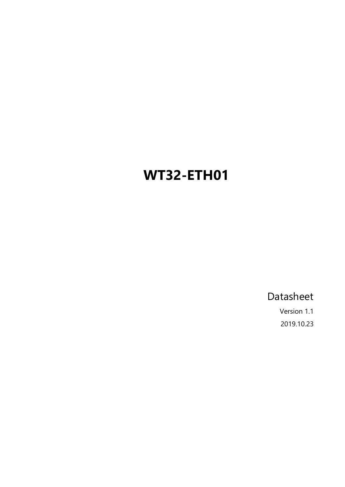# <span id="page-0-0"></span>**WT32-ETH01**

Datasheet

Version 1.1 2019.10.23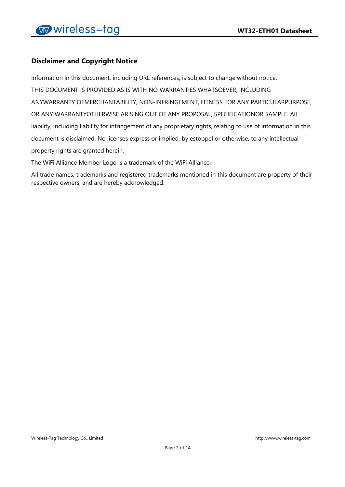## **Disclaimer and Copyright Notice**

Information in this document, including URL references, is subject to change without notice. THIS DOCUMENT IS PROVIDED AS IS WITH NO WARRANTIES WHATSOEVER, INCLUDING ANYWARRANTY OFMERCHANTABILITY, NON-INFRINGEMENT, FITNESS FOR ANY PARTICULARPURPOSE, OR ANY WARRANTYOTHERWISE ARISING OUT OF ANY PROPOSAL, SPECIFICATIONOR SAMPLE. All liability, including liability for infringement of any proprietary rights, relating to use of information in this document is disclaimed. No licenses express or implied, by estoppel or otherwise, to any intellectual property rights are granted herein.

The WiFi Alliance Member Logo is a trademark of the WiFi Alliance.

All trade names, trademarks and registered trademarks mentioned in this document are property of their respective owners, and are hereby acknowledged.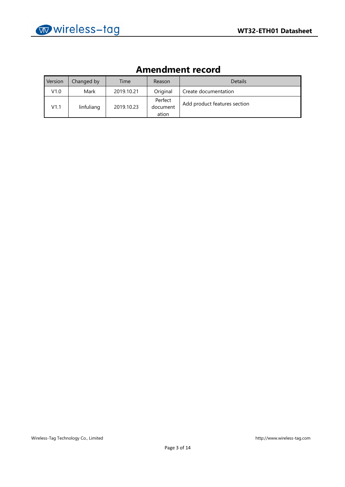| Ашенишент гесоги |            |            |                              |                              |
|------------------|------------|------------|------------------------------|------------------------------|
| Version          | Changed by | Time       | Reason                       | <b>Details</b>               |
| V1.0             | Mark       | 2019.10.21 | Original                     | Create documentation         |
| V1.1             | linfuliang | 2019.10.23 | Perfect<br>document<br>ation | Add product features section |

## **Amendment record**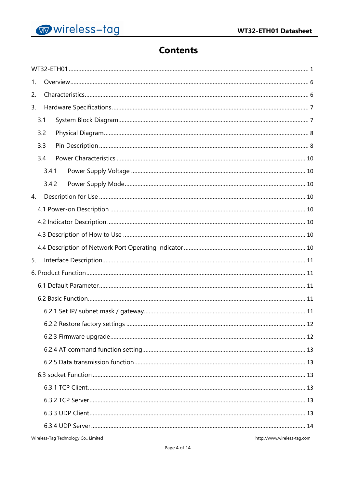

## **Contents**

| 1. |       |  |
|----|-------|--|
| 2. |       |  |
| 3. |       |  |
|    | 3.1   |  |
|    | 3.2   |  |
|    | 3.3   |  |
|    | 3.4   |  |
|    | 3.4.1 |  |
|    | 3.4.2 |  |
| 4. |       |  |
|    |       |  |
|    |       |  |
|    |       |  |
|    |       |  |
|    |       |  |
| 5. |       |  |
|    |       |  |
|    |       |  |
|    |       |  |
|    |       |  |
|    |       |  |
|    |       |  |
|    |       |  |
|    |       |  |
|    |       |  |
|    |       |  |
|    |       |  |
|    |       |  |
|    |       |  |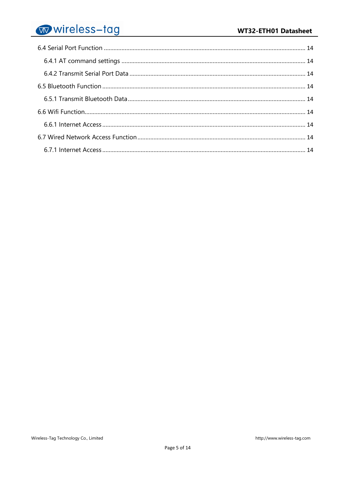# wireless-tag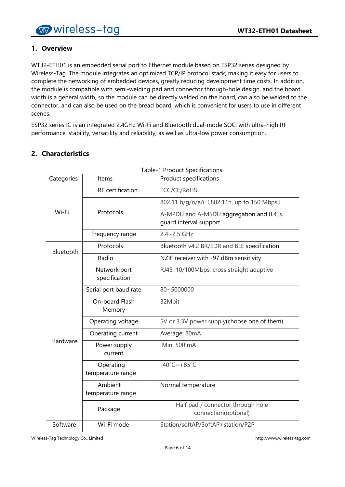## <span id="page-5-0"></span>**1. Overview**

WT32-ETH01 is an embedded serial port to Ethernet module based on ESP32 series designed by Wireless-Tag. The module integrates an optimized TCP/IP protocol stack, making it easy for users to complete the networking of embedded devices, greatly reducing development time costs. In addition, the module is compatible with semi-welding pad and connector through-hole design, and the board width is a general width, so the module can be directly welded on the board, can also be welded to the connector, and can also be used on the bread board, which is convenient for users to use in different scenes.

ESP32 series IC is an integrated 2.4GHz Wi-Fi and Bluetooth dual-mode SOC, with ultra-high RF performance, stability, versatility and reliability, as well as ultra-low power consumption.

| Categories | Items                          | Table-T Product Specifications<br>Product specifications          |
|------------|--------------------------------|-------------------------------------------------------------------|
|            | <b>RF</b> certification        | FCC/CE/RoHS                                                       |
|            |                                | 802.11 b/g/n/e/i (802.11n, up to 150 Mbps)                        |
| Wi-Fi      | Protocols                      | A-MPDU and A-MSDU aggregation and 0.4_s<br>quard interval support |
|            | Frequency range                | $2.4 - 2.5$ GHz                                                   |
| Bluetooth  | Protocols                      | Bluetooth v4.2 BR/EDR and BLE specification                       |
|            | Radio                          | NZIF receiver with -97 dBm sensitivity                            |
|            | Network port<br>specification  | RJ45, 10/100Mbps, cross straight adaptive                         |
|            | Serial port baud rate          | 80~5000000                                                        |
|            | On-board Flash<br>Memory       | 32Mbit                                                            |
|            | Operating voltage              | 5V or 3.3V power supply(choose one of them)                       |
|            | Operating current              | Average: 80mA                                                     |
| Hardware   | Power supply<br>current        | Min: 500 mA                                                       |
|            | Operating<br>temperature range | $-40^{\circ}$ C ~ +85°C                                           |
|            | Ambient<br>temperature range   | Normal temperature                                                |
|            | Package                        | Half pad / connector through hole<br>connection(optional)         |
| Software   | Wi-Fi mode                     | Station/softAP/SoftAP+station/P2P                                 |
|            |                                |                                                                   |

## <span id="page-5-1"></span>**2. Characteristics**

Table-1 Product Specifications

Wireless-Tag Technology Co., Limited http://www.wireless-tag.com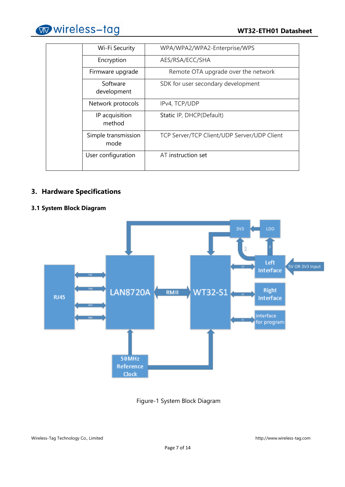

| WPA/WPA2/WPA2-Enterprise/WPS<br>Wi-Fi Security<br>AES/RSA/ECC/SHA<br>Encryption<br>Remote OTA upgrade over the network<br>Firmware upgrade<br>Software<br>SDK for user secondary development<br>development<br>Network protocols<br>IPv4, TCP/UDP<br>IP acquisition<br>Static IP, DHCP(Default)<br>method<br>Simple transmission<br>TCP Server/TCP Client/UDP Server/UDP Client<br>mode<br>AT instruction set<br>User configuration |  |  |
|-------------------------------------------------------------------------------------------------------------------------------------------------------------------------------------------------------------------------------------------------------------------------------------------------------------------------------------------------------------------------------------------------------------------------------------|--|--|
|                                                                                                                                                                                                                                                                                                                                                                                                                                     |  |  |
|                                                                                                                                                                                                                                                                                                                                                                                                                                     |  |  |
|                                                                                                                                                                                                                                                                                                                                                                                                                                     |  |  |
|                                                                                                                                                                                                                                                                                                                                                                                                                                     |  |  |
|                                                                                                                                                                                                                                                                                                                                                                                                                                     |  |  |
|                                                                                                                                                                                                                                                                                                                                                                                                                                     |  |  |
|                                                                                                                                                                                                                                                                                                                                                                                                                                     |  |  |
|                                                                                                                                                                                                                                                                                                                                                                                                                                     |  |  |

## <span id="page-6-0"></span>**3. Hardware Specifications**

### <span id="page-6-1"></span>**3.1 System Block Diagram**



Figure-1 System Block Diagram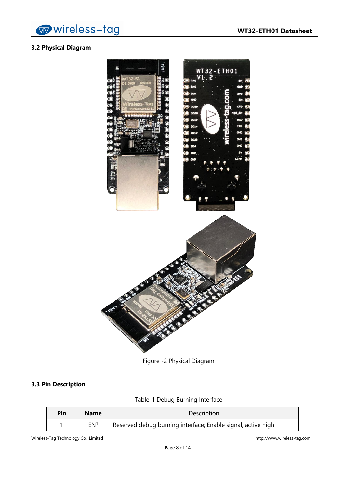

## <span id="page-7-0"></span>**3.2 Physical Diagram**



Figure -2 Physical Diagram

## <span id="page-7-1"></span>**3.3 Pin Description**

## Table-1 Debug Burning Interface

| Pin | <b>Name</b>     | Description                                                  |  |
|-----|-----------------|--------------------------------------------------------------|--|
|     | EN <sup>1</sup> | Reserved debug burning interface; Enable signal, active high |  |

Wireless-Tag Technology Co., Limited http://www.wireless-tag.com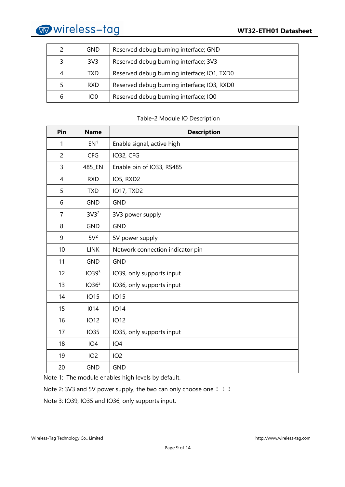

| 2 | <b>GND</b>      | Reserved debug burning interface; GND       |  |
|---|-----------------|---------------------------------------------|--|
| 3 | 3V3             | Reserved debug burning interface; 3V3       |  |
| 4 | TXD.            | Reserved debug burning interface; IO1, TXD0 |  |
| 5 | <b>RXD</b>      | Reserved debug burning interface; IO3, RXD0 |  |
| 6 | IO <sub>0</sub> | Reserved debug burning interface; IO0       |  |

#### Table-2 Module IO Description

| Pin            | <b>Name</b>       | <b>Description</b>               |  |
|----------------|-------------------|----------------------------------|--|
| 1              | EN <sup>1</sup>   | Enable signal, active high       |  |
| $\overline{2}$ | <b>CFG</b>        | IO32, CFG                        |  |
| 3              | 485_EN            | Enable pin of IO33, RS485        |  |
| 4              | <b>RXD</b>        | IO5, RXD2                        |  |
| 5              | <b>TXD</b>        | <b>IO17, TXD2</b>                |  |
| 6              | <b>GND</b>        | <b>GND</b>                       |  |
| $\overline{7}$ | 3V3 <sup>2</sup>  | 3V3 power supply                 |  |
| 8              | <b>GND</b>        | <b>GND</b>                       |  |
| 9              | 5V <sup>2</sup>   | 5V power supply                  |  |
| 10             | <b>LINK</b>       | Network connection indicator pin |  |
| 11             | <b>GND</b>        | <b>GND</b>                       |  |
| 12             | IO39 <sup>3</sup> | IO39, only supports input        |  |
| 13             | IO36 <sup>3</sup> | IO36, only supports input        |  |
| 14             | <b>IO15</b>       | <b>IO15</b>                      |  |
| 15             | 1014              | <b>IO14</b>                      |  |
| 16             | <b>IO12</b>       | <b>IO12</b>                      |  |
| 17             | <b>IO35</b>       | IO35, only supports input        |  |
| 18             | IO <sub>4</sub>   | IO <sub>4</sub>                  |  |
| 19             | IO <sub>2</sub>   | IO <sub>2</sub>                  |  |
| 20             | <b>GND</b>        | <b>GND</b>                       |  |

Note 1: The module enables high levels by default.

Note 2: 3V3 and 5V power supply, the two can only choose one !!!

Note 3: IO39, IO35 and IO36, only supports input.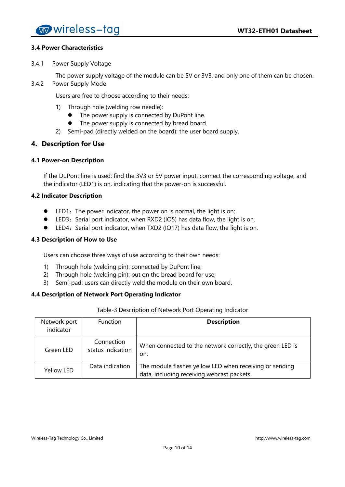#### <span id="page-9-0"></span>**3.4 Power Characteristics**

<span id="page-9-1"></span>3.4.1 Power Supply Voltage

The power supply voltage of the module can be 5V or 3V3, and only one of them can be chosen.

<span id="page-9-2"></span>3.4.2 Power Supply Mode

Users are free to choose according to their needs:

- 1) Through hole (welding row needle):
	- The power supply is connected by DuPont line.
	- The power supply is connected by bread board.
- 2) Semi-pad (directly welded on the board): the user board supply.

#### <span id="page-9-3"></span>**4. Description for Use**

#### <span id="page-9-4"></span>**4.1 Power-on Description**

If the DuPont line is used: find the 3V3 or 5V power input, connect the corresponding voltage, and the indicator (LED1) is on, indicating that the power-on is successful.

#### <span id="page-9-5"></span>**4.2 Indicator Description**

- LED1: The power indicator, the power on is normal, the light is on;
- LED3: Serial port indicator, when RXD2 (IO5) has data flow, the light is on.
- LED4: Serial port indicator, when TXD2 (IO17) has data flow, the light is on.

#### <span id="page-9-6"></span>**4.3 Description of How to Use**

Users can choose three ways of use according to their own needs:

- 1) Through hole (welding pin): connected by DuPont line;
- 2) Through hole (welding pin): put on the bread board for use;
- 3) Semi-pad: users can directly weld the module on their own board.

#### <span id="page-9-7"></span>**4.4 Description of Network Port Operating Indicator**

#### Table-3 Description of Network Port Operating Indicator

| Network port<br>indicator | <b>Function</b>                 | <b>Description</b>                                                                                    |
|---------------------------|---------------------------------|-------------------------------------------------------------------------------------------------------|
| Green LED                 | Connection<br>status indication | When connected to the network correctly, the green LED is<br>on.                                      |
| Yellow LED                | Data indication                 | The module flashes yellow LED when receiving or sending<br>data, including receiving webcast packets. |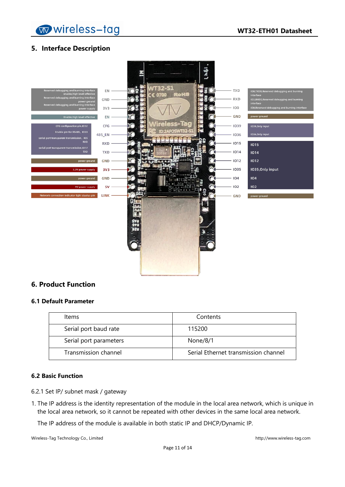wireless-tag

## <span id="page-10-0"></span>**5. Interface Description**



### <span id="page-10-1"></span>**6. Product Function**

#### <span id="page-10-2"></span>**6.1 Default Parameter**

| Items                  | Contents                             |
|------------------------|--------------------------------------|
| Serial port baud rate  | 115200                               |
| Serial port parameters | None/8/1                             |
| Transmission channel   | Serial Ethernet transmission channel |

#### <span id="page-10-3"></span>**6.2 Basic Function**

- <span id="page-10-4"></span>6.2.1 Set IP/ subnet mask / gateway
- 1. The IP address is the identity representation of the module in the local area network, which is unique in the local area network, so it cannot be repeated with other devices in the same local area network.

The IP address of the module is available in both static IP and DHCP/Dynamic IP.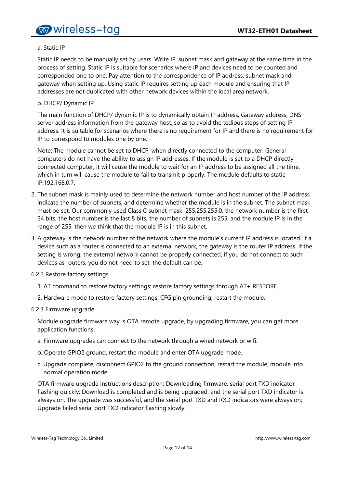#### a. Static IP

Static IP needs to be manually set by users. Write IP, subnet mask and gateway at the same time in the process of setting. Static IP is suitable for scenarios where IP and devices need to be counted and corresponded one to one. Pay attention to the correspondence of IP address, subnet mask and gateway when setting up. Using static IP requires setting up each module and ensuring that IP addresses are not duplicated with other network devices within the local area network.

#### b. DHCP/ Dynamic IP

The main function of DHCP/ dynamic IP is to dynamically obtain IP address, Gateway address, DNS server address information from the gateway host, so as to avoid the tedious steps of setting IP address. It is suitable for scenarios where there is no requirement for IP and there is no requirement for IP to correspond to modules one by one.

Note: The module cannot be set to DHCP, when directly connected to the computer. General computers do not have the ability to assign IP addresses. If the module is set to a DHCP directly connected computer, it will cause the module to wait for an IP address to be assigned all the time, which in turn will cause the module to fail to transmit properly. The module defaults to static IP:192.168.0.7.

- 2. The subnet mask is mainly used to determine the network number and host number of the IP address, indicate the number of subnets, and determine whether the module is in the subnet. The subnet mask must be set. Our commonly used Class C subnet mask: 255.255.255.0, the network number is the first 24 bits, the host number is the last 8 bits, the number of subnets is 255, and the module IP is in the range of 255, then we think that the module IP is in this subnet.
- 3. A gateway is the network number of the network where the module's current IP address is located. If a device such as a router is connected to an external network, the gateway is the router IP address. If the setting is wrong, the external network cannot be properly connected, if you do not connect to such devices as routers, you do not need to set, the default can be.
- <span id="page-11-0"></span>6.2.2 Restore factory settings
	- 1. AT command to restore factory settings: restore factory settings through AT+ RESTORE.
	- 2. Hardware mode to restore factory settings: CFG pin grounding, restart the module.

#### <span id="page-11-1"></span>6.2.3 Firmware upgrade

Module upgrade firmware way is OTA remote upgrade, by upgrading firmware, you can get more application functions.

- a. Firmware upgrades can connect to the network through a wired network or wifi.
- b. Operate GPIO2 ground, restart the module and enter OTA upgrade mode.
- c. Upgrade complete, disconnect GPIO2 to the ground connection, restart the module, module into normal operation mode.

OTA firmware upgrade instructions description: Downloading firmware, serial port TXD indicator flashing quickly; Download is completed and is being upgraded, and the serial port TXD indicator is always on. The upgrade was successful, and the serial port TXD and RXD indicators were always on; Upgrade failed serial port TXD indicator flashing slowly.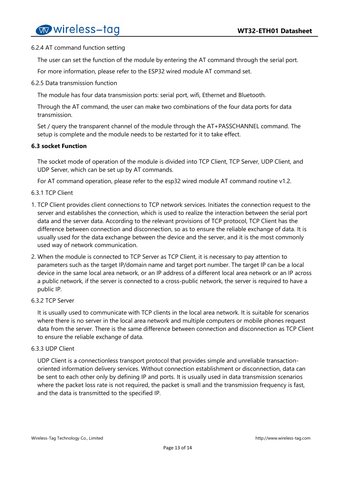#### <span id="page-12-0"></span>6.2.4 AT command function setting

The user can set the function of the module by entering the AT command through the serial port.

For more information, please refer to the ESP32 wired module AT command set.

<span id="page-12-1"></span>6.2.5 Data transmission function

The module has four data transmission ports: serial port, wifi, Ethernet and Bluetooth.

Through the AT command, the user can make two combinations of the four data ports for data transmission.

Set / query the transparent channel of the module through the AT+PASSCHANNEL command. The setup is complete and the module needs to be restarted for it to take effect.

#### <span id="page-12-2"></span>**6.3 socket Function**

The socket mode of operation of the module is divided into TCP Client, TCP Server, UDP Client, and UDP Server, which can be set up by AT commands.

For AT command operation, please refer to the esp32 wired module AT command routine v1.2.

#### <span id="page-12-3"></span>6.3.1 TCP Client

- 1. TCP Client provides client connections to TCP network services. Initiates the connection request to the server and establishes the connection, which is used to realize the interaction between the serial port data and the server data. According to the relevant provisions of TCP protocol, TCP Client has the difference between connection and disconnection, so as to ensure the reliable exchange of data. It is usually used for the data exchange between the device and the server, and it is the most commonly used way of network communication.
- 2. When the module is connected to TCP Server as TCP Client, it is necessary to pay attention to parameters such as the target IP/domain name and target port number. The target IP can be a local device in the same local area network, or an IP address of a different local area network or an IP across a public network, if the server is connected to a cross-public network, the server is required to have a public IP.

#### <span id="page-12-4"></span>6.3.2 TCP Server

It is usually used to communicate with TCP clients in the local area network. It is suitable for scenarios where there is no server in the local area network and multiple computers or mobile phones request data from the server. There is the same difference between connection and disconnection as TCP Client to ensure the reliable exchange of data.

#### <span id="page-12-5"></span>6.3.3 UDP Client

UDP Client is a connectionless transport protocol that provides simple and unreliable transactionoriented information delivery services. Without connection establishment or disconnection, data can be sent to each other only by defining IP and ports. It is usually used in data transmission scenarios where the packet loss rate is not required, the packet is small and the transmission frequency is fast, and the data is transmitted to the specified IP.